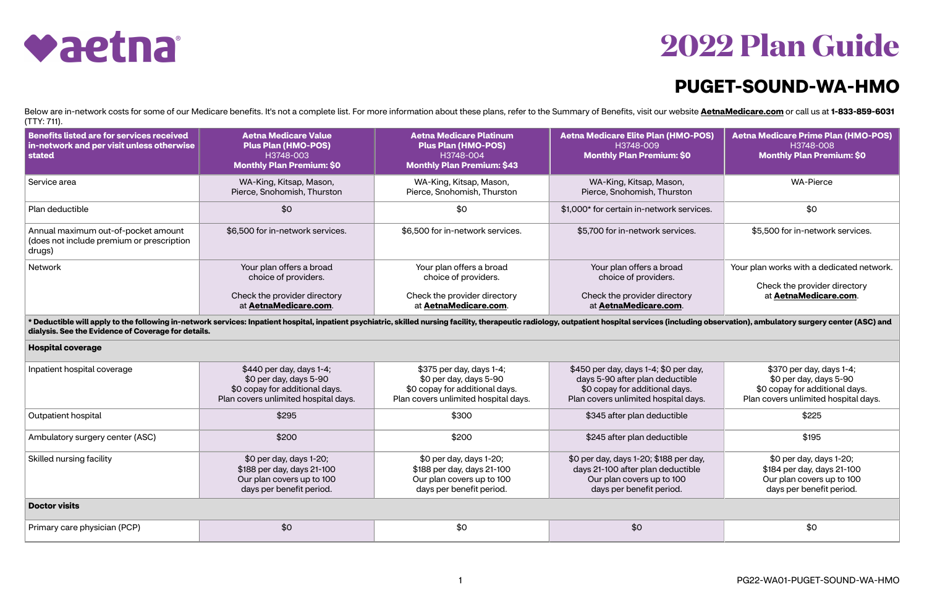



## **PUGET-SOUND-WA-HMO**

Below are in-network costs for some of our Medicare benefits. It's not a complete list. For more information about these plans, refer to the Summary of Benefits, visit our website **[AetnaMedicare.com](http://AetnaMedicare.com)** or call us at 1-833-85 (TTY: 711).

| Benefits listed are for services received<br>in-network and per visit unless otherwise<br>stated                                                                                                                                                                                      | <b>Aetna Medicare Value</b><br><b>Plus Plan (HMO-POS)</b><br>H3748-003<br><b>Monthly Plan Premium: \$0</b>                   | <b>Aetna Medicare Platinum</b><br><b>Plus Plan (HMO-POS)</b><br>H3748-004<br><b>Monthly Plan Premium: \$43</b>               | <b>Aetna Medicare Elite Plan (HMO-POS)</b><br>H3748-009<br><b>Monthly Plan Premium: \$0</b>                                                        | <b>Aetna Medicare Prime Plan (HMO-POS)</b><br>H3748-008<br><b>Monthly Plan Premium: \$0</b>                                  |  |  |  |
|---------------------------------------------------------------------------------------------------------------------------------------------------------------------------------------------------------------------------------------------------------------------------------------|------------------------------------------------------------------------------------------------------------------------------|------------------------------------------------------------------------------------------------------------------------------|----------------------------------------------------------------------------------------------------------------------------------------------------|------------------------------------------------------------------------------------------------------------------------------|--|--|--|
| Service area                                                                                                                                                                                                                                                                          | WA-King, Kitsap, Mason,<br>Pierce, Snohomish, Thurston                                                                       | WA-King, Kitsap, Mason,<br>Pierce, Snohomish, Thurston                                                                       | WA-King, Kitsap, Mason,<br>Pierce, Snohomish, Thurston                                                                                             | <b>WA-Pierce</b>                                                                                                             |  |  |  |
| Plan deductible                                                                                                                                                                                                                                                                       | \$0                                                                                                                          | \$0                                                                                                                          | \$1,000* for certain in-network services.                                                                                                          | \$0                                                                                                                          |  |  |  |
| Annual maximum out-of-pocket amount<br>(does not include premium or prescription<br>drugs)                                                                                                                                                                                            | \$6,500 for in-network services.                                                                                             | \$6,500 for in-network services.                                                                                             | \$5,700 for in-network services.                                                                                                                   | \$5,500 for in-network services.                                                                                             |  |  |  |
| Network                                                                                                                                                                                                                                                                               | Your plan offers a broad<br>choice of providers.<br>Check the provider directory<br>at AetnaMedicare.com.                    | Your plan offers a broad<br>choice of providers.<br>Check the provider directory<br>at AetnaMedicare.com.                    | Your plan offers a broad<br>choice of providers.<br>Check the provider directory<br>at AetnaMedicare.com.                                          | Your plan works with a dedicated network.<br>Check the provider directory<br>at AetnaMedicare.com.                           |  |  |  |
| * Deductible will apply to the following in-network services: Inpatient hospital, inpatient psychiatric, skilled nursing facility, therapeutic radiology, outpatient hospital services (including observation), ambulatory sur<br>dialysis. See the Evidence of Coverage for details. |                                                                                                                              |                                                                                                                              |                                                                                                                                                    |                                                                                                                              |  |  |  |
| <b>Hospital coverage</b>                                                                                                                                                                                                                                                              |                                                                                                                              |                                                                                                                              |                                                                                                                                                    |                                                                                                                              |  |  |  |
| Inpatient hospital coverage                                                                                                                                                                                                                                                           | \$440 per day, days 1-4;<br>\$0 per day, days 5-90<br>\$0 copay for additional days.<br>Plan covers unlimited hospital days. | \$375 per day, days 1-4;<br>\$0 per day, days 5-90<br>\$0 copay for additional days.<br>Plan covers unlimited hospital days. | \$450 per day, days 1-4; \$0 per day,<br>days 5-90 after plan deductible<br>\$0 copay for additional days.<br>Plan covers unlimited hospital days. | \$370 per day, days 1-4;<br>\$0 per day, days 5-90<br>\$0 copay for additional days.<br>Plan covers unlimited hospital days. |  |  |  |
| Outpatient hospital                                                                                                                                                                                                                                                                   | \$295                                                                                                                        | \$300                                                                                                                        | \$345 after plan deductible                                                                                                                        | \$225                                                                                                                        |  |  |  |
| Ambulatory surgery center (ASC)                                                                                                                                                                                                                                                       | \$200                                                                                                                        | \$200                                                                                                                        | \$245 after plan deductible                                                                                                                        | \$195                                                                                                                        |  |  |  |
| Skilled nursing facility                                                                                                                                                                                                                                                              | \$0 per day, days 1-20;<br>\$188 per day, days 21-100<br>Our plan covers up to 100                                           | \$0 per day, days 1-20;<br>\$188 per day, days 21-100<br>Our plan covers up to 100                                           | \$0 per day, days 1-20; \$188 per day,<br>days 21-100 after plan deductible<br>Our plan covers up to 100                                           | \$0 per day, days 1-20;<br>\$184 per day, days 21-100<br>Our plan covers up to 100                                           |  |  |  |

| Inpatient hospital coverage     | \$440 per day, days 1-4;<br>$$0$ per day, days 5-90<br>\$0 copay for additional days.<br>Plan covers unlimited hospital days. | \$375 per day, days 1-4;<br>$$0$ per day, days 5-90<br>\$0 copay for additional days.<br>Plan covers unlimited hospital days. | \$450 per day, days 1-4; \$0 per<br>days 5-90 after plan deductik<br>\$0 copay for additional days<br>Plan covers unlimited hospital o |
|---------------------------------|-------------------------------------------------------------------------------------------------------------------------------|-------------------------------------------------------------------------------------------------------------------------------|----------------------------------------------------------------------------------------------------------------------------------------|
| Outpatient hospital             | \$295                                                                                                                         | \$300                                                                                                                         | \$345 after plan deductible                                                                                                            |
| Ambulatory surgery center (ASC) | \$200                                                                                                                         | \$200                                                                                                                         | \$245 after plan deductible                                                                                                            |
| Skilled nursing facility        | \$0 per day, days 1-20;<br>\$188 per day, days 21-100<br>Our plan covers up to 100<br>days per benefit period.                | \$0 per day, days 1-20;<br>\$188 per day, days 21-100<br>Our plan covers up to 100<br>days per benefit period.                | \$0 per day, days 1-20; \$188 per<br>days 21-100 after plan deducti<br>Our plan covers up to 100<br>days per benefit period.           |
| <b>Doctor visits</b>            |                                                                                                                               |                                                                                                                               |                                                                                                                                        |

days per benefit period.

| Prima<br>$\omega$ e physician (PCP). |  |  |
|--------------------------------------|--|--|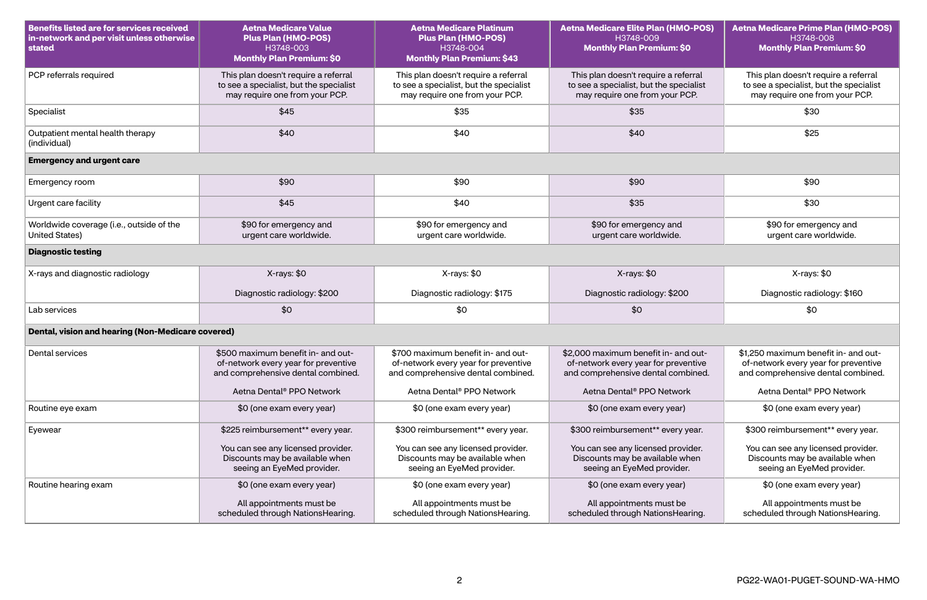| <b>Benefits listed are for services received</b><br>in-network and per visit unless otherwise<br>stated | <b>Aetna Medicare Value</b><br><b>Plus Plan (HMO-POS)</b><br>H3748-003<br><b>Monthly Plan Premium: \$0</b>        | <b>Aetna Medicare Platinum</b><br><b>Plus Plan (HMO-POS)</b><br>H3748-004<br><b>Monthly Plan Premium: \$43</b>    | <b>Aetna Medicare Elite Plan (HMO-POS)</b><br>H3748-009<br><b>Monthly Plan Premium: \$0</b>                        | <b>Aetna Medicare Prime Plan (HMO-POS)</b><br>H3748-008<br><b>Monthly Plan Premium: \$0</b>                        |
|---------------------------------------------------------------------------------------------------------|-------------------------------------------------------------------------------------------------------------------|-------------------------------------------------------------------------------------------------------------------|--------------------------------------------------------------------------------------------------------------------|--------------------------------------------------------------------------------------------------------------------|
| PCP referrals required                                                                                  | This plan doesn't require a referral<br>to see a specialist, but the specialist<br>may require one from your PCP. | This plan doesn't require a referral<br>to see a specialist, but the specialist<br>may require one from your PCP. | This plan doesn't require a referral<br>to see a specialist, but the specialist<br>may require one from your PCP.  | This plan doesn't require a referral<br>to see a specialist, but the specialist<br>may require one from your PCP.  |
| Specialist                                                                                              | \$45                                                                                                              | \$35                                                                                                              | \$35                                                                                                               | \$30                                                                                                               |
| Outpatient mental health therapy<br>(individual)                                                        | \$40                                                                                                              | \$40                                                                                                              | \$40                                                                                                               | \$25                                                                                                               |
| <b>Emergency and urgent care</b>                                                                        |                                                                                                                   |                                                                                                                   |                                                                                                                    |                                                                                                                    |
| Emergency room                                                                                          | \$90                                                                                                              | \$90                                                                                                              | \$90                                                                                                               | \$90                                                                                                               |
| Urgent care facility                                                                                    | \$45                                                                                                              | \$40                                                                                                              | \$35                                                                                                               | \$30                                                                                                               |
| Worldwide coverage (i.e., outside of the<br><b>United States)</b>                                       | \$90 for emergency and<br>urgent care worldwide.                                                                  | \$90 for emergency and<br>urgent care worldwide.                                                                  | \$90 for emergency and<br>urgent care worldwide.                                                                   | \$90 for emergency and<br>urgent care worldwide.                                                                   |
| <b>Diagnostic testing</b>                                                                               |                                                                                                                   |                                                                                                                   |                                                                                                                    |                                                                                                                    |
| X-rays and diagnostic radiology                                                                         | X-rays: \$0                                                                                                       | X-rays: \$0                                                                                                       | X-rays: \$0                                                                                                        | X-rays: \$0                                                                                                        |
|                                                                                                         | Diagnostic radiology: \$200                                                                                       | Diagnostic radiology: \$175                                                                                       | Diagnostic radiology: \$200                                                                                        | Diagnostic radiology: \$160                                                                                        |
| Lab services                                                                                            | \$0                                                                                                               | \$0                                                                                                               | \$0                                                                                                                | \$0                                                                                                                |
| Dental, vision and hearing (Non-Medicare covered)                                                       |                                                                                                                   |                                                                                                                   |                                                                                                                    |                                                                                                                    |
| Dental services                                                                                         | \$500 maximum benefit in- and out-<br>of-network every year for preventive<br>and comprehensive dental combined.  | \$700 maximum benefit in- and out-<br>of-network every year for preventive<br>and comprehensive dental combined.  | \$2,000 maximum benefit in- and out-<br>of-network every year for preventive<br>and comprehensive dental combined. | \$1,250 maximum benefit in- and out-<br>of-network every year for preventive<br>and comprehensive dental combined. |
|                                                                                                         | Aetna Dental <sup>®</sup> PPO Network                                                                             | Aetna Dental <sup>®</sup> PPO Network                                                                             | Aetna Dental <sup>®</sup> PPO Network                                                                              | Aetna Dental <sup>®</sup> PPO Network                                                                              |
| Routine eye exam                                                                                        | \$0 (one exam every year)                                                                                         | \$0 (one exam every year)                                                                                         | \$0 (one exam every year)                                                                                          | \$0 (one exam every year)                                                                                          |
| Eyewear                                                                                                 | \$225 reimbursement** every year.                                                                                 | \$300 reimbursement** every year.                                                                                 | \$300 reimbursement** every year.                                                                                  | \$300 reimbursement** every year.                                                                                  |
|                                                                                                         | You can see any licensed provider.<br>Discounts may be available when<br>seeing an EyeMed provider.               | You can see any licensed provider.<br>Discounts may be available when<br>seeing an EyeMed provider.               | You can see any licensed provider.<br>Discounts may be available when<br>seeing an EyeMed provider.                | You can see any licensed provider.<br>Discounts may be available when<br>seeing an EyeMed provider.                |
| Routine hearing exam                                                                                    | \$0 (one exam every year)                                                                                         | \$0 (one exam every year)                                                                                         | \$0 (one exam every year)                                                                                          | \$0 (one exam every year)                                                                                          |
|                                                                                                         | All appointments must be<br>scheduled through NationsHearing.                                                     | All appointments must be<br>scheduled through NationsHearing.                                                     | All appointments must be<br>scheduled through NationsHearing.                                                      | All appointments must be<br>scheduled through NationsHearing.                                                      |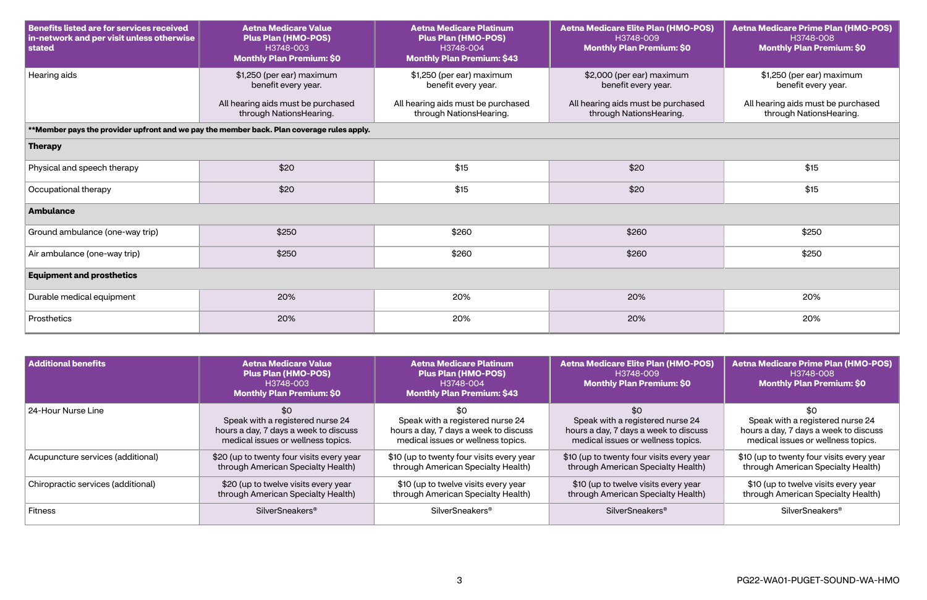| <b>Benefits listed are for services received</b><br>in-network and per visit unless otherwise<br>stated | <b>Aetna Medicare Value</b><br><b>Plus Plan (HMO-POS)</b><br>H3748-003<br><b>Monthly Plan Premium: \$0</b> | <b>Aetna Medicare Platinum</b><br><b>Plus Plan (HMO-POS)</b><br>H3748-004<br><b>Monthly Plan Premium: \$43</b> | <b>Aetna Medicare Elite Plan (HMO-POS)</b><br>H3748-009<br><b>Monthly Plan Premium: \$0</b> | <b>Aetna Medicare Prime Plan (HMO-POS)</b><br>H3748-008<br><b>Monthly Plan Premium: \$0</b> |  |
|---------------------------------------------------------------------------------------------------------|------------------------------------------------------------------------------------------------------------|----------------------------------------------------------------------------------------------------------------|---------------------------------------------------------------------------------------------|---------------------------------------------------------------------------------------------|--|
| Hearing aids                                                                                            | \$1,250 (per ear) maximum<br>benefit every year.                                                           | \$1,250 (per ear) maximum<br>benefit every year.                                                               | \$2,000 (per ear) maximum<br>benefit every year.                                            | \$1,250 (per ear) maximum<br>benefit every year.                                            |  |
|                                                                                                         | All hearing aids must be purchased<br>through NationsHearing.                                              | All hearing aids must be purchased<br>through NationsHearing.                                                  | All hearing aids must be purchased<br>through NationsHearing.                               | All hearing aids must be purchased<br>through NationsHearing.                               |  |
|                                                                                                         | **Member pays the provider upfront and we pay the member back. Plan coverage rules apply.                  |                                                                                                                |                                                                                             |                                                                                             |  |
| <b>Therapy</b>                                                                                          |                                                                                                            |                                                                                                                |                                                                                             |                                                                                             |  |
| Physical and speech therapy                                                                             | \$20                                                                                                       | \$15                                                                                                           | \$20                                                                                        | \$15                                                                                        |  |
| Occupational therapy                                                                                    | \$20                                                                                                       | \$15                                                                                                           | \$20                                                                                        | \$15                                                                                        |  |
| <b>Ambulance</b>                                                                                        |                                                                                                            |                                                                                                                |                                                                                             |                                                                                             |  |
| Ground ambulance (one-way trip)                                                                         | \$250                                                                                                      | \$260                                                                                                          | \$260                                                                                       | \$250                                                                                       |  |
| Air ambulance (one-way trip)                                                                            | \$250                                                                                                      | \$260                                                                                                          | \$260                                                                                       | \$250                                                                                       |  |
| <b>Equipment and prosthetics</b>                                                                        |                                                                                                            |                                                                                                                |                                                                                             |                                                                                             |  |
| Durable medical equipment                                                                               | 20%                                                                                                        | 20%                                                                                                            | 20%                                                                                         | 20%                                                                                         |  |
| Prosthetics                                                                                             | 20%                                                                                                        | 20%                                                                                                            | 20%                                                                                         | 20%                                                                                         |  |

| <b>Additional benefits</b>         | <b>Aetna Medicare Value</b><br><b>Plus Plan (HMO-POS)</b><br>H3748-003<br><b>Monthly Plan Premium: \$0</b>             | <b>Aetna Medicare Platinum</b><br><b>Plus Plan (HMO-POS)</b><br>H3748-004<br><b>Monthly Plan Premium: \$43</b>  | <b>Aetna Medicare Elite Plan (HMO-POS)</b><br>H3748-009<br><b>Monthly Plan Premium: \$0</b>                            | <b>Aetna Medicare Prime Plan (HMO-POS)</b><br>H3748-008<br><b>Monthly Plan Premium: \$0</b>                     |
|------------------------------------|------------------------------------------------------------------------------------------------------------------------|-----------------------------------------------------------------------------------------------------------------|------------------------------------------------------------------------------------------------------------------------|-----------------------------------------------------------------------------------------------------------------|
| 24-Hour Nurse Line                 | \$0<br>Speak with a registered nurse 24<br>hours a day, 7 days a week to discuss<br>medical issues or wellness topics. | Speak with a registered nurse 24<br>hours a day, 7 days a week to discuss<br>medical issues or wellness topics. | \$0<br>Speak with a registered nurse 24<br>hours a day, 7 days a week to discuss<br>medical issues or wellness topics. | Speak with a registered nurse 24<br>hours a day, 7 days a week to discuss<br>medical issues or wellness topics. |
| Acupuncture services (additional)  | \$20 (up to twenty four visits every year<br>through American Specialty Health)                                        | \$10 (up to twenty four visits every year<br>through American Specialty Health)                                 | \$10 (up to twenty four visits every year<br>through American Specialty Health)                                        | \$10 (up to twenty four visits every year<br>through American Specialty Health)                                 |
| Chiropractic services (additional) | \$20 (up to twelve visits every year<br>through American Specialty Health)                                             | \$10 (up to twelve visits every year<br>through American Specialty Health)                                      | \$10 (up to twelve visits every year<br>through American Specialty Health)                                             | \$10 (up to twelve visits every year<br>through American Specialty Health)                                      |
| Fitness                            | SilverSneakers <sup>®</sup>                                                                                            | <b>SilverSneakers<sup>®</sup></b>                                                                               | SilverSneakers <sup>®</sup>                                                                                            | <b>SilverSneakers<sup>®</sup></b>                                                                               |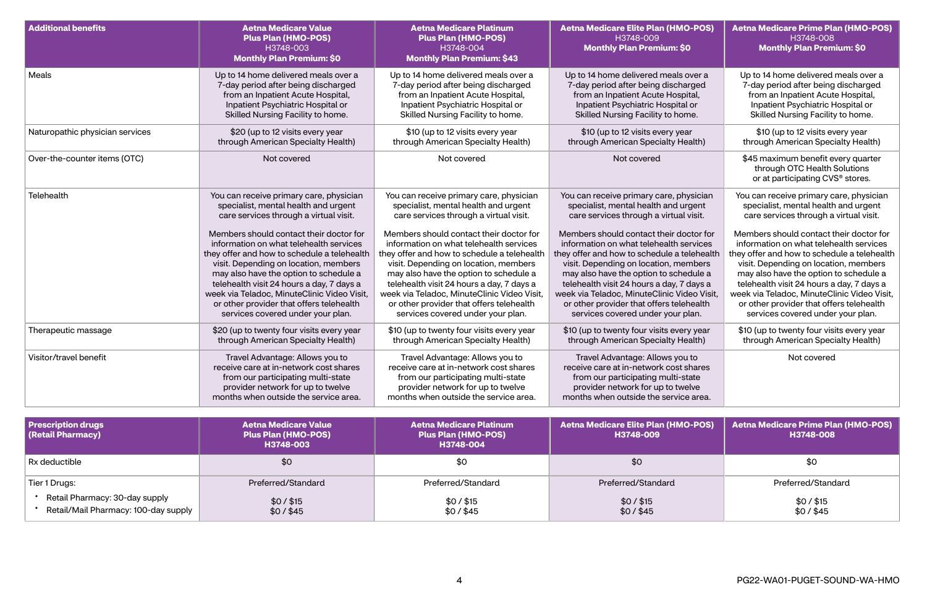| <b>Additional benefits</b>                     | <b>Aetna Medicare Value</b><br><b>Plus Plan (HMO-POS)</b><br>H3748-003<br><b>Monthly Plan Premium: \$0</b>                                                                                    | <b>Aetna Medicare Platinum</b><br><b>Plus Plan (HMO-POS)</b><br>H3748-004<br><b>Monthly Plan Premium: \$43</b>                                                                                | <b>Aetna Medicare Elite Plan (HMO-POS)</b><br>H3748-009<br><b>Monthly Plan Premium: \$0</b>                                                                                                   | <b>Aetna Medicare Prime Plan (HMO-POS)</b><br>H3748-008<br><b>Monthly Plan Premium: \$0</b>            |
|------------------------------------------------|-----------------------------------------------------------------------------------------------------------------------------------------------------------------------------------------------|-----------------------------------------------------------------------------------------------------------------------------------------------------------------------------------------------|-----------------------------------------------------------------------------------------------------------------------------------------------------------------------------------------------|--------------------------------------------------------------------------------------------------------|
| Meals                                          | Up to 14 home delivered meals over a                                                                                                                                                          | Up to 14 home delivered meals over a                                                                                                                                                          | Up to 14 home delivered meals over a                                                                                                                                                          | Up to 14 home delivered meals over a                                                                   |
|                                                | 7-day period after being discharged                                                                                                                                                           | 7-day period after being discharged                                                                                                                                                           | 7-day period after being discharged                                                                                                                                                           | 7-day period after being discharged                                                                    |
|                                                | from an Inpatient Acute Hospital,                                                                                                                                                             | from an Inpatient Acute Hospital,                                                                                                                                                             | from an Inpatient Acute Hospital,                                                                                                                                                             | from an Inpatient Acute Hospital,                                                                      |
|                                                | Inpatient Psychiatric Hospital or                                                                                                                                                             | Inpatient Psychiatric Hospital or                                                                                                                                                             | Inpatient Psychiatric Hospital or                                                                                                                                                             | Inpatient Psychiatric Hospital or                                                                      |
|                                                | Skilled Nursing Facility to home.                                                                                                                                                             | Skilled Nursing Facility to home.                                                                                                                                                             | Skilled Nursing Facility to home.                                                                                                                                                             | Skilled Nursing Facility to home.                                                                      |
| Naturopathic physician services                | \$20 (up to 12 visits every year                                                                                                                                                              | \$10 (up to 12 visits every year                                                                                                                                                              | \$10 (up to 12 visits every year                                                                                                                                                              | \$10 (up to 12 visits every year                                                                       |
|                                                | through American Specialty Health)                                                                                                                                                            | through American Specialty Health)                                                                                                                                                            | through American Specialty Health)                                                                                                                                                            | through American Specialty Health)                                                                     |
| Over-the-counter items (OTC)                   | Not covered                                                                                                                                                                                   | Not covered                                                                                                                                                                                   | Not covered                                                                                                                                                                                   | \$45 maximum benefit every quarter<br>through OTC Health Solutions<br>or at participating CVS® stores. |
| Telehealth                                     | You can receive primary care, physician                                                                                                                                                       | You can receive primary care, physician                                                                                                                                                       | You can receive primary care, physician                                                                                                                                                       | You can receive primary care, physician                                                                |
|                                                | specialist, mental health and urgent                                                                                                                                                          | specialist, mental health and urgent                                                                                                                                                          | specialist, mental health and urgent                                                                                                                                                          | specialist, mental health and urgent                                                                   |
|                                                | care services through a virtual visit.                                                                                                                                                        | care services through a virtual visit.                                                                                                                                                        | care services through a virtual visit.                                                                                                                                                        | care services through a virtual visit.                                                                 |
|                                                | Members should contact their doctor for                                                                                                                                                       | Members should contact their doctor for                                                                                                                                                       | Members should contact their doctor for                                                                                                                                                       | Members should contact their doctor for                                                                |
|                                                | information on what telehealth services                                                                                                                                                       | information on what telehealth services                                                                                                                                                       | information on what telehealth services                                                                                                                                                       | information on what telehealth services                                                                |
|                                                | they offer and how to schedule a telehealth                                                                                                                                                   | they offer and how to schedule a telehealth                                                                                                                                                   | they offer and how to schedule a telehealth                                                                                                                                                   | they offer and how to schedule a telehealth                                                            |
|                                                | visit. Depending on location, members                                                                                                                                                         | visit. Depending on location, members                                                                                                                                                         | visit. Depending on location, members                                                                                                                                                         | visit. Depending on location, members                                                                  |
|                                                | may also have the option to schedule a                                                                                                                                                        | may also have the option to schedule a                                                                                                                                                        | may also have the option to schedule a                                                                                                                                                        | may also have the option to schedule a                                                                 |
|                                                | telehealth visit 24 hours a day, 7 days a                                                                                                                                                     | telehealth visit 24 hours a day, 7 days a                                                                                                                                                     | telehealth visit 24 hours a day, 7 days a                                                                                                                                                     | telehealth visit 24 hours a day, 7 days a                                                              |
|                                                | week via Teladoc, MinuteClinic Video Visit,                                                                                                                                                   | week via Teladoc, MinuteClinic Video Visit,                                                                                                                                                   | week via Teladoc, MinuteClinic Video Visit,                                                                                                                                                   | week via Teladoc, MinuteClinic Video Visit,                                                            |
|                                                | or other provider that offers telehealth                                                                                                                                                      | or other provider that offers telehealth                                                                                                                                                      | or other provider that offers telehealth                                                                                                                                                      | or other provider that offers telehealth                                                               |
|                                                | services covered under your plan.                                                                                                                                                             | services covered under your plan.                                                                                                                                                             | services covered under your plan.                                                                                                                                                             | services covered under your plan.                                                                      |
| Therapeutic massage                            | \$20 (up to twenty four visits every year                                                                                                                                                     | \$10 (up to twenty four visits every year                                                                                                                                                     | \$10 (up to twenty four visits every year                                                                                                                                                     | \$10 (up to twenty four visits every year                                                              |
|                                                | through American Specialty Health)                                                                                                                                                            | through American Specialty Health)                                                                                                                                                            | through American Specialty Health)                                                                                                                                                            | through American Specialty Health)                                                                     |
| Visitor/travel benefit                         | Travel Advantage: Allows you to<br>receive care at in-network cost shares<br>from our participating multi-state<br>provider network for up to twelve<br>months when outside the service area. | Travel Advantage: Allows you to<br>receive care at in-network cost shares<br>from our participating multi-state<br>provider network for up to twelve<br>months when outside the service area. | Travel Advantage: Allows you to<br>receive care at in-network cost shares<br>from our participating multi-state<br>provider network for up to twelve<br>months when outside the service area. | Not covered                                                                                            |
| <b>Prescription drugs</b><br>(Retail Pharmacy) | <b>Aetna Medicare Value</b><br><b>Plus Plan (HMO-POS)</b><br>H3748-003                                                                                                                        | <b>Aetna Medicare Platinum</b><br><b>Plus Plan (HMO-POS)</b><br>H3748-004                                                                                                                     | <b>Aetna Medicare Elite Plan (HMO-POS)</b><br>H3748-009                                                                                                                                       | <b>Aetna Medicare Prime Plan (HMO-POS)</b><br>H3748-008                                                |
| Rx deductible                                  | \$0                                                                                                                                                                                           | \$0                                                                                                                                                                                           | \$0                                                                                                                                                                                           | \$0                                                                                                    |
| Tier 1 Drugs:                                  | Preferred/Standard                                                                                                                                                                            | Preferred/Standard                                                                                                                                                                            | Preferred/Standard                                                                                                                                                                            | Preferred/Standard                                                                                     |
| Retail Pharmacy: 30-day supply                 | $$0/$ \$15                                                                                                                                                                                    | $$0/$ \$15                                                                                                                                                                                    | $$0/$ \$15                                                                                                                                                                                    | $$0/$ \$15                                                                                             |
| Retail/Mail Pharmacy: 100-day supply           | $$0/$ \$45                                                                                                                                                                                    | \$0/\$45                                                                                                                                                                                      | $$0/$ \$45                                                                                                                                                                                    | \$0/\$45                                                                                               |